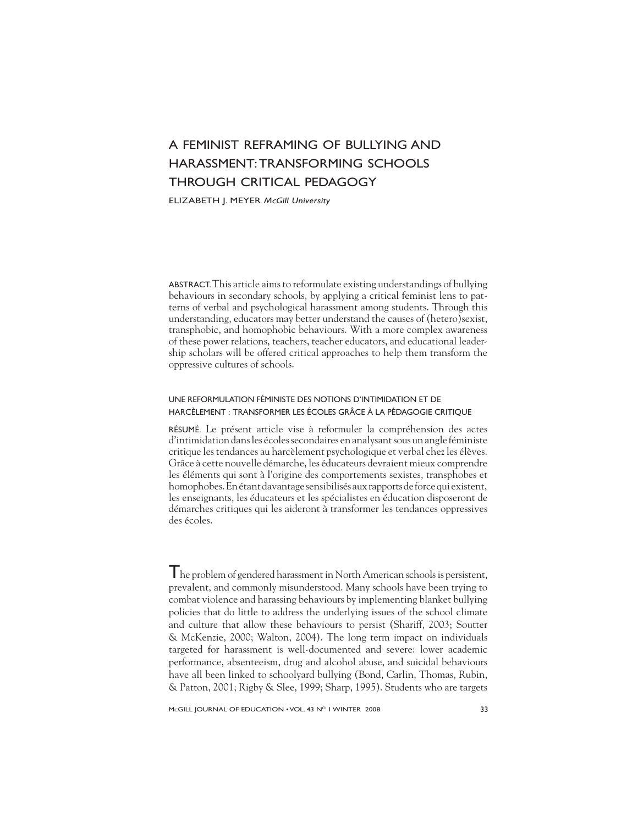# A FEMINIST REFRAMING OF BULLYING AND HARASSMENT: TRANSFORMING SCHOOLS THROUGH CRITICAL PEDAGOGY ELIZABETH J. MEYER *McGill University*

ABSTRACT.This article aims to reformulate existing understandings of bullying behaviours in secondary schools, by applying a critical feminist lens to patterns of verbal and psychological harassment among students. Through this understanding, educators may better understand the causes of (hetero)sexist, transphobic, and homophobic behaviours. With a more complex awareness of these power relations, teachers, teacher educators, and educational leadership scholars will be offered critical approaches to help them transform the oppressive cultures of schools.

# UNE REFORMULATION FÉMINISTE DES NOTIONS D'INTIMIDATION ET DE HARCÈLEMENT : TRANSFORMER LES ÉCOLES GRÂCE À LA PÉDAGOGIE CRITIQUE

RÉSUMÉ. Le présent article vise à reformuler la compréhension des actes d'intimidation dans les écoles secondaires en analysant sous un angle féministe critique les tendances au harcèlement psychologique et verbal chez les élèves. Grâce à cette nouvelle démarche, les éducateurs devraient mieux comprendre les éléments qui sont à l'origine des comportements sexistes, transphobes et homophobes. En étant davantage sensibilisés aux rapports de force qui existent, les enseignants, les éducateurs et les spécialistes en éducation disposeront de démarches critiques qui les aideront à transformer les tendances oppressives des écoles.

The problem of gendered harassment in North American schools is persistent, prevalent, and commonly misunderstood. Many schools have been trying to combat violence and harassing behaviours by implementing blanket bullying policies that do little to address the underlying issues of the school climate and culture that allow these behaviours to persist (Shariff, 2003; Soutter & McKenzie, 2000; Walton, 2004). The long term impact on individuals targeted for harassment is well-documented and severe: lower academic performance, absenteeism, drug and alcohol abuse, and suicidal behaviours have all been linked to schoolyard bullying (Bond, Carlin, Thomas, Rubin, & Patton, 2001; Rigby & Slee, 1999; Sharp, 1995). Students who are targets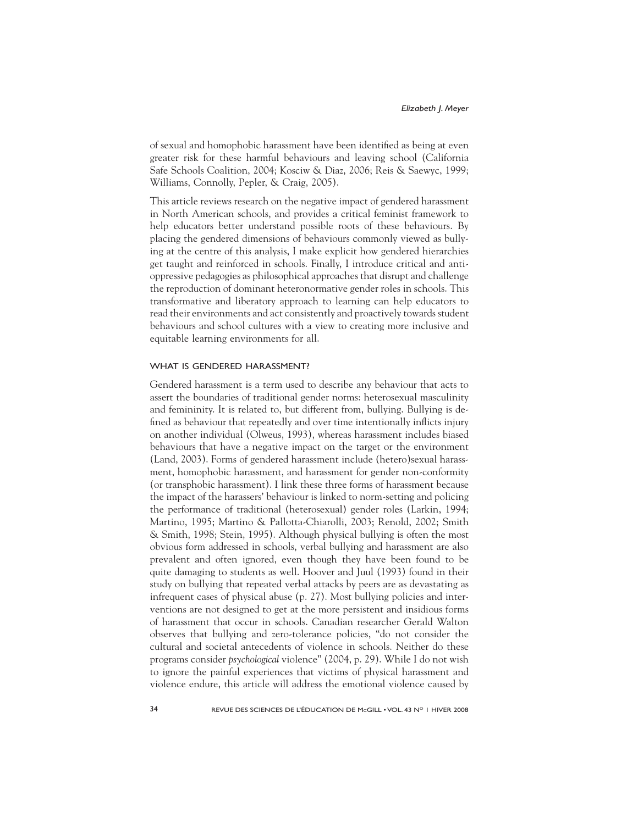of sexual and homophobic harassment have been identified as being at even greater risk for these harmful behaviours and leaving school (California Safe Schools Coalition, 2004; Kosciw & Diaz, 2006; Reis & Saewyc, 1999; Williams, Connolly, Pepler, & Craig, 2005).

This article reviews research on the negative impact of gendered harassment in North American schools, and provides a critical feminist framework to help educators better understand possible roots of these behaviours. By placing the gendered dimensions of behaviours commonly viewed as bullying at the centre of this analysis, I make explicit how gendered hierarchies get taught and reinforced in schools. Finally, I introduce critical and antioppressive pedagogies as philosophical approaches that disrupt and challenge the reproduction of dominant heteronormative gender roles in schools. This transformative and liberatory approach to learning can help educators to read their environments and act consistently and proactively towards student behaviours and school cultures with a view to creating more inclusive and equitable learning environments for all.

# WHAT IS GENDERED HARASSMENT?

Gendered harassment is a term used to describe any behaviour that acts to assert the boundaries of traditional gender norms: heterosexual masculinity and femininity. It is related to, but different from, bullying. Bullying is defined as behaviour that repeatedly and over time intentionally inflicts injury on another individual (Olweus, 1993), whereas harassment includes biased behaviours that have a negative impact on the target or the environment (Land, 2003). Forms of gendered harassment include (hetero)sexual harassment, homophobic harassment, and harassment for gender non-conformity (or transphobic harassment). I link these three forms of harassment because the impact of the harassers' behaviour is linked to norm-setting and policing the performance of traditional (heterosexual) gender roles (Larkin, 1994; Martino, 1995; Martino & Pallotta-Chiarolli, 2003; Renold, 2002; Smith & Smith, 1998; Stein, 1995). Although physical bullying is often the most obvious form addressed in schools, verbal bullying and harassment are also prevalent and often ignored, even though they have been found to be quite damaging to students as well. Hoover and Juul (1993) found in their study on bullying that repeated verbal attacks by peers are as devastating as infrequent cases of physical abuse (p. 27). Most bullying policies and interventions are not designed to get at the more persistent and insidious forms of harassment that occur in schools. Canadian researcher Gerald Walton observes that bullying and zero-tolerance policies, "do not consider the cultural and societal antecedents of violence in schools. Neither do these programs consider *psychological* violence" (2004, p. 29). While I do not wish to ignore the painful experiences that victims of physical harassment and violence endure, this article will address the emotional violence caused by

84 REVUE DES SCIENCES DE L'ÉDUCATION DE McGILL • VOL. 43 N° 1 HIVER 2008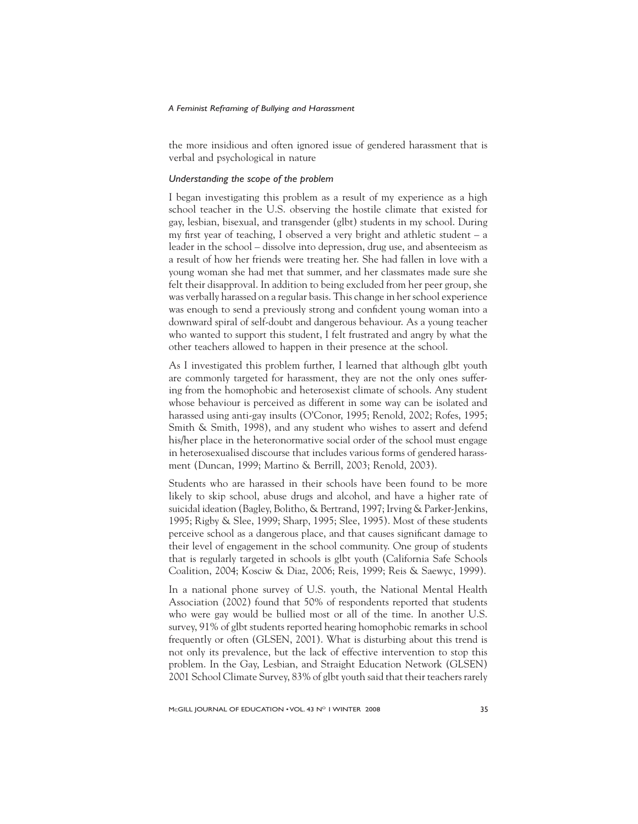the more insidious and often ignored issue of gendered harassment that is verbal and psychological in nature

# *Understanding the scope of the problem*

I began investigating this problem as a result of my experience as a high school teacher in the U.S. observing the hostile climate that existed for gay, lesbian, bisexual, and transgender (glbt) students in my school. During my first year of teaching, I observed a very bright and athletic student – a leader in the school – dissolve into depression, drug use, and absenteeism as a result of how her friends were treating her. She had fallen in love with a young woman she had met that summer, and her classmates made sure she felt their disapproval. In addition to being excluded from her peer group, she was verbally harassed on a regular basis. This change in her school experience was enough to send a previously strong and confident young woman into a downward spiral of self-doubt and dangerous behaviour. As a young teacher who wanted to support this student, I felt frustrated and angry by what the other teachers allowed to happen in their presence at the school.

As I investigated this problem further, I learned that although glbt youth are commonly targeted for harassment, they are not the only ones suffering from the homophobic and heterosexist climate of schools. Any student whose behaviour is perceived as different in some way can be isolated and harassed using anti-gay insults (O'Conor, 1995; Renold, 2002; Rofes, 1995; Smith & Smith, 1998), and any student who wishes to assert and defend his/her place in the heteronormative social order of the school must engage in heterosexualised discourse that includes various forms of gendered harassment (Duncan, 1999; Martino & Berrill, 2003; Renold, 2003).

Students who are harassed in their schools have been found to be more likely to skip school, abuse drugs and alcohol, and have a higher rate of suicidal ideation (Bagley, Bolitho, & Bertrand, 1997; Irving & Parker-Jenkins, 1995; Rigby & Slee, 1999; Sharp, 1995; Slee, 1995). Most of these students perceive school as a dangerous place, and that causes significant damage to their level of engagement in the school community. One group of students that is regularly targeted in schools is glbt youth (California Safe Schools Coalition, 2004; Kosciw & Diaz, 2006; Reis, 1999; Reis & Saewyc, 1999).

In a national phone survey of U.S. youth, the National Mental Health Association (2002) found that 50% of respondents reported that students who were gay would be bullied most or all of the time. In another U.S. survey, 91% of glbt students reported hearing homophobic remarks in school frequently or often (GLSEN, 2001). What is disturbing about this trend is not only its prevalence, but the lack of effective intervention to stop this problem. In the Gay, Lesbian, and Straight Education Network (GLSEN) 2001 School Climate Survey, 83% of glbt youth said that their teachers rarely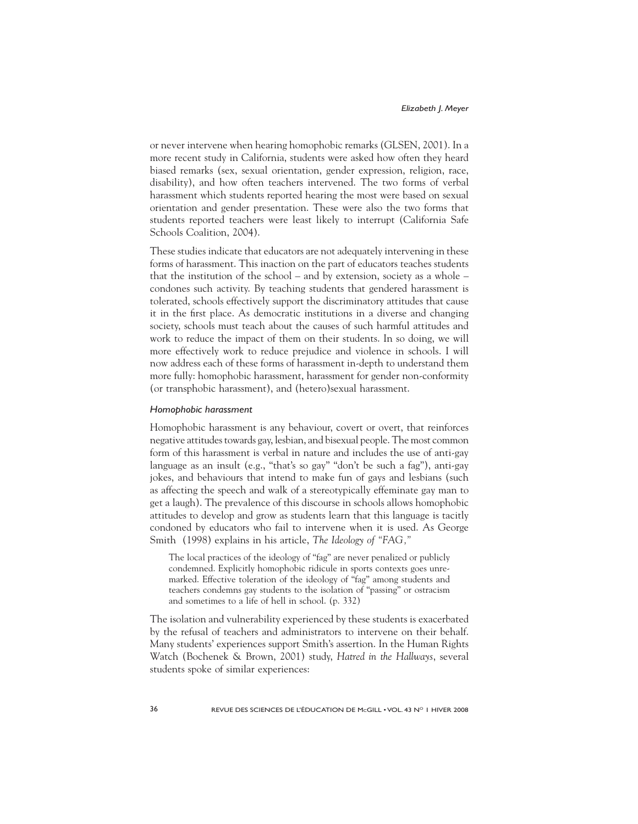or never intervene when hearing homophobic remarks (GLSEN, 2001). In a more recent study in California, students were asked how often they heard biased remarks (sex, sexual orientation, gender expression, religion, race, disability), and how often teachers intervened. The two forms of verbal harassment which students reported hearing the most were based on sexual orientation and gender presentation. These were also the two forms that students reported teachers were least likely to interrupt (California Safe Schools Coalition, 2004).

These studies indicate that educators are not adequately intervening in these forms of harassment. This inaction on the part of educators teaches students that the institution of the school – and by extension, society as a whole – condones such activity. By teaching students that gendered harassment is tolerated, schools effectively support the discriminatory attitudes that cause it in the first place. As democratic institutions in a diverse and changing society, schools must teach about the causes of such harmful attitudes and work to reduce the impact of them on their students. In so doing, we will more effectively work to reduce prejudice and violence in schools. I will now address each of these forms of harassment in-depth to understand them more fully: homophobic harassment, harassment for gender non-conformity (or transphobic harassment), and (hetero)sexual harassment.

# *Homophobic harassment*

Homophobic harassment is any behaviour, covert or overt, that reinforces negative attitudes towards gay, lesbian, and bisexual people. The most common form of this harassment is verbal in nature and includes the use of anti-gay language as an insult (e.g., "that's so gay" "don't be such a fag"), anti-gay jokes, and behaviours that intend to make fun of gays and lesbians (such as affecting the speech and walk of a stereotypically effeminate gay man to get a laugh). The prevalence of this discourse in schools allows homophobic attitudes to develop and grow as students learn that this language is tacitly condoned by educators who fail to intervene when it is used. As George Smith (1998) explains in his article, *The Ideology of "FAG,"* 

The local practices of the ideology of "fag" are never penalized or publicly condemned. Explicitly homophobic ridicule in sports contexts goes unremarked. Effective toleration of the ideology of "fag" among students and teachers condemns gay students to the isolation of "passing" or ostracism and sometimes to a life of hell in school. (p. 332)

The isolation and vulnerability experienced by these students is exacerbated by the refusal of teachers and administrators to intervene on their behalf. Many students' experiences support Smith's assertion. In the Human Rights Watch (Bochenek & Brown, 2001) study, *Hatred in the Hallways*, several students spoke of similar experiences: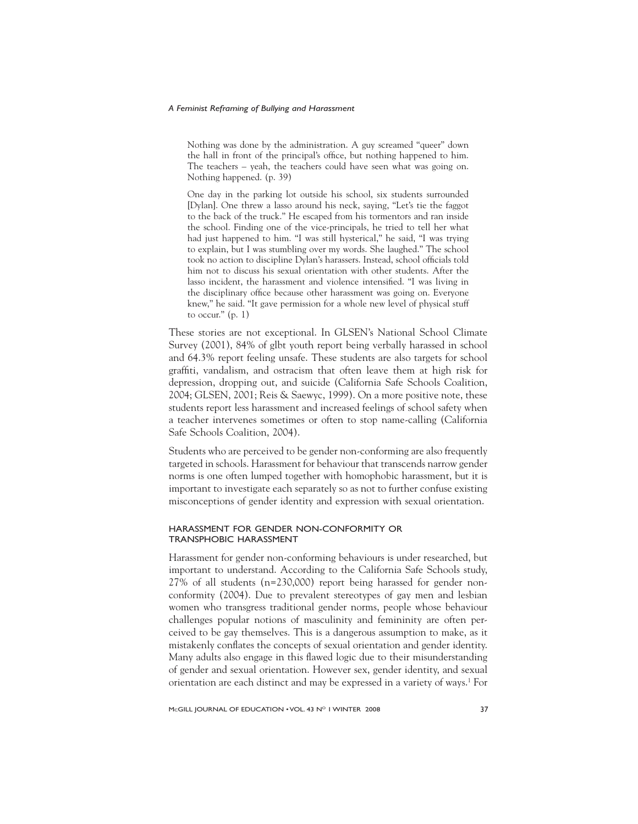Nothing was done by the administration. A guy screamed "queer" down the hall in front of the principal's office, but nothing happened to him. The teachers – yeah, the teachers could have seen what was going on. Nothing happened. (p. 39)

One day in the parking lot outside his school, six students surrounded [Dylan]. One threw a lasso around his neck, saying, "Let's tie the faggot to the back of the truck." He escaped from his tormentors and ran inside the school. Finding one of the vice-principals, he tried to tell her what had just happened to him. "I was still hysterical," he said, "I was trying to explain, but I was stumbling over my words. She laughed." The school took no action to discipline Dylan's harassers. Instead, school officials told him not to discuss his sexual orientation with other students. After the lasso incident, the harassment and violence intensified. "I was living in the disciplinary office because other harassment was going on. Everyone knew," he said. "It gave permission for a whole new level of physical stuff to occur."  $(p. 1)$ 

These stories are not exceptional. In GLSEN's National School Climate Survey (2001), 84% of glbt youth report being verbally harassed in school and 64.3% report feeling unsafe. These students are also targets for school graffiti, vandalism, and ostracism that often leave them at high risk for depression, dropping out, and suicide (California Safe Schools Coalition, 2004; GLSEN, 2001; Reis & Saewyc, 1999). On a more positive note, these students report less harassment and increased feelings of school safety when a teacher intervenes sometimes or often to stop name-calling (California Safe Schools Coalition, 2004).

Students who are perceived to be gender non-conforming are also frequently targeted in schools. Harassment for behaviour that transcends narrow gender norms is one often lumped together with homophobic harassment, but it is important to investigate each separately so as not to further confuse existing misconceptions of gender identity and expression with sexual orientation.

## HARASSMENT FOR GENDER NON-CONFORMITY OR TRANSPHOBIC HARASSMENT

Harassment for gender non-conforming behaviours is under researched, but important to understand. According to the California Safe Schools study, 27% of all students (n=230,000) report being harassed for gender nonconformity (2004). Due to prevalent stereotypes of gay men and lesbian women who transgress traditional gender norms, people whose behaviour challenges popular notions of masculinity and femininity are often perceived to be gay themselves. This is a dangerous assumption to make, as it mistakenly conflates the concepts of sexual orientation and gender identity. Many adults also engage in this flawed logic due to their misunderstanding of gender and sexual orientation. However sex, gender identity, and sexual orientation are each distinct and may be expressed in a variety of ways.<sup>1</sup> For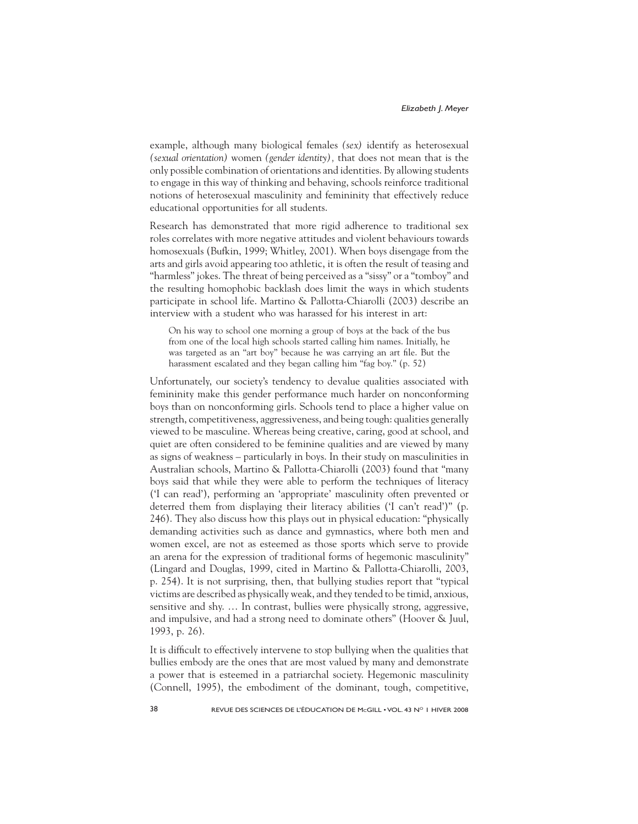example, although many biological females *(sex)* identify as heterosexual *(sexual orientation)* women *(gender identity),* that does not mean that is the only possible combination of orientations and identities. By allowing students to engage in this way of thinking and behaving, schools reinforce traditional notions of heterosexual masculinity and femininity that effectively reduce educational opportunities for all students.

Research has demonstrated that more rigid adherence to traditional sex roles correlates with more negative attitudes and violent behaviours towards homosexuals (Bufkin, 1999; Whitley, 2001). When boys disengage from the arts and girls avoid appearing too athletic, it is often the result of teasing and "harmless" jokes. The threat of being perceived as a "sissy" or a "tomboy" and the resulting homophobic backlash does limit the ways in which students participate in school life. Martino & Pallotta-Chiarolli (2003) describe an interview with a student who was harassed for his interest in art:

On his way to school one morning a group of boys at the back of the bus from one of the local high schools started calling him names. Initially, he was targeted as an "art boy" because he was carrying an art file. But the harassment escalated and they began calling him "fag boy." (p. 52)

Unfortunately, our society's tendency to devalue qualities associated with femininity make this gender performance much harder on nonconforming boys than on nonconforming girls. Schools tend to place a higher value on strength, competitiveness, aggressiveness, and being tough: qualities generally viewed to be masculine. Whereas being creative, caring, good at school, and quiet are often considered to be feminine qualities and are viewed by many as signs of weakness – particularly in boys. In their study on masculinities in Australian schools, Martino & Pallotta-Chiarolli (2003) found that "many boys said that while they were able to perform the techniques of literacy ('I can read'), performing an 'appropriate' masculinity often prevented or deterred them from displaying their literacy abilities ('I can't read')" (p. 246). They also discuss how this plays out in physical education: "physically demanding activities such as dance and gymnastics, where both men and women excel, are not as esteemed as those sports which serve to provide an arena for the expression of traditional forms of hegemonic masculinity" (Lingard and Douglas, 1999, cited in Martino & Pallotta-Chiarolli, 2003, p. 254). It is not surprising, then, that bullying studies report that "typical victims are described as physically weak, and they tended to be timid, anxious, sensitive and shy. … In contrast, bullies were physically strong, aggressive, and impulsive, and had a strong need to dominate others" (Hoover & Juul, 1993, p. 26).

It is difficult to effectively intervene to stop bullying when the qualities that bullies embody are the ones that are most valued by many and demonstrate a power that is esteemed in a patriarchal society. Hegemonic masculinity (Connell, 1995), the embodiment of the dominant, tough, competitive,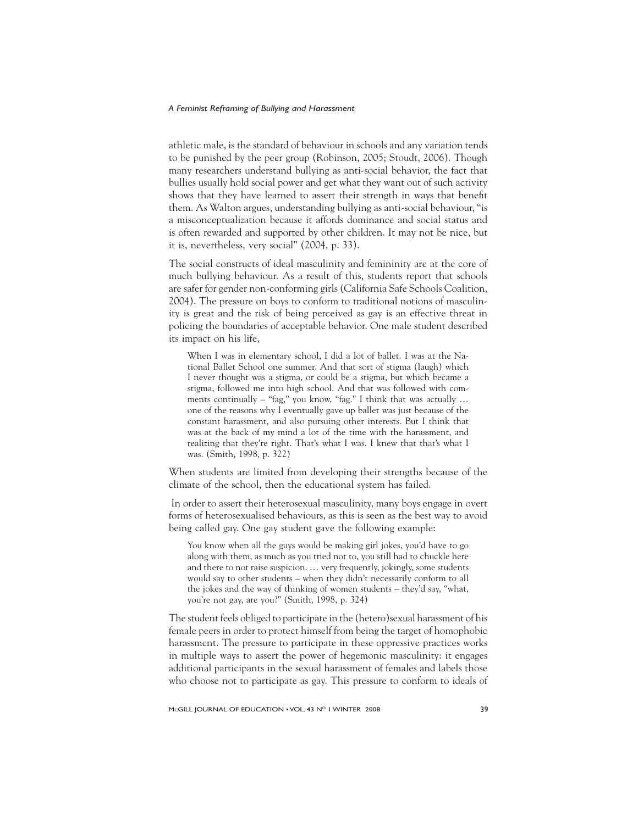athletic male, is the standard of behaviour in schools and any variation tends to be punished by the peer group (Robinson, 2005; Stoudt, 2006). Though many researchers understand bullying as anti-social behavior, the fact that bullies usually hold social power and get what they want out of such activity shows that they have learned to assert their strength in ways that benefit them. As Walton argues, understanding bullying as anti-social behaviour, "is a misconceptualization because it affords dominance and social status and is often rewarded and supported by other children. It may not be nice, but it is, nevertheless, very social" (2004, p. 33).

The social constructs of ideal masculinity and femininity are at the core of much bullying behaviour. As a result of this, students report that schools are safer for gender non-conforming girls (California Safe Schools Coalition, 2004). The pressure on boys to conform to traditional notions of masculinity is great and the risk of being perceived as gay is an effective threat in policing the boundaries of acceptable behavior. One male student described its impact on his life,

When I was in elementary school, I did a lot of ballet. I was at the National Ballet School one summer. And that sort of stigma (laugh) which I never thought was a stigma, or could be a stigma, but which became a stigma, followed me into high school. And that was followed with comments continually – "fag," you know, "fag." I think that was actually … one of the reasons why I eventually gave up ballet was just because of the constant harassment, and also pursuing other interests. But I think that was at the back of my mind a lot of the time with the harassment, and realizing that they're right. That's what I was. I knew that that's what I was. (Smith, 1998, p. 322)

When students are limited from developing their strengths because of the climate of the school, then the educational system has failed.

 In order to assert their heterosexual masculinity, many boys engage in overt forms of heterosexualised behaviours, as this is seen as the best way to avoid being called gay. One gay student gave the following example:

You know when all the guys would be making girl jokes, you'd have to go along with them, as much as you tried not to, you still had to chuckle here and there to not raise suspicion. … very frequently, jokingly, some students would say to other students – when they didn't necessarily conform to all the jokes and the way of thinking of women students – they'd say, "what, you're not gay, are you?" (Smith, 1998, p. 324)

The student feels obliged to participate in the (hetero)sexual harassment of his female peers in order to protect himself from being the target of homophobic harassment. The pressure to participate in these oppressive practices works in multiple ways to assert the power of hegemonic masculinity: it engages additional participants in the sexual harassment of females and labels those who choose not to participate as gay. This pressure to conform to ideals of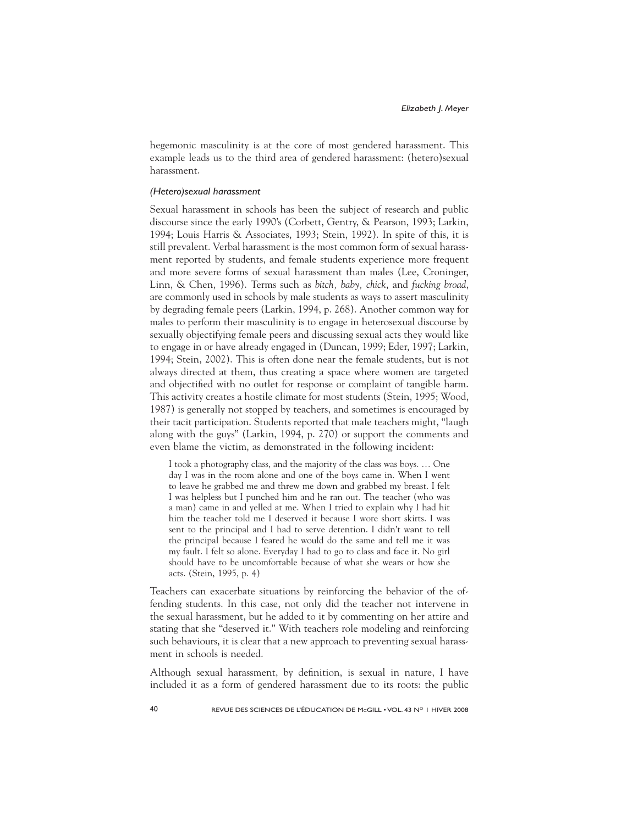hegemonic masculinity is at the core of most gendered harassment. This example leads us to the third area of gendered harassment: (hetero)sexual harassment.

## *(Hetero)sexual harassment*

Sexual harassment in schools has been the subject of research and public discourse since the early 1990's (Corbett, Gentry, & Pearson, 1993; Larkin, 1994; Louis Harris & Associates, 1993; Stein, 1992). In spite of this, it is still prevalent. Verbal harassment is the most common form of sexual harassment reported by students, and female students experience more frequent and more severe forms of sexual harassment than males (Lee, Croninger, Linn, & Chen, 1996). Terms such as *bitch, baby, chick*, and *fucking broad*, are commonly used in schools by male students as ways to assert masculinity by degrading female peers (Larkin, 1994, p. 268). Another common way for males to perform their masculinity is to engage in heterosexual discourse by sexually objectifying female peers and discussing sexual acts they would like to engage in or have already engaged in (Duncan, 1999; Eder, 1997; Larkin, 1994; Stein, 2002). This is often done near the female students, but is not always directed at them, thus creating a space where women are targeted and objectified with no outlet for response or complaint of tangible harm. This activity creates a hostile climate for most students (Stein, 1995; Wood, 1987) is generally not stopped by teachers, and sometimes is encouraged by their tacit participation. Students reported that male teachers might, "laugh along with the guys" (Larkin, 1994, p. 270) or support the comments and even blame the victim, as demonstrated in the following incident:

I took a photography class, and the majority of the class was boys. … One day I was in the room alone and one of the boys came in. When I went to leave he grabbed me and threw me down and grabbed my breast. I felt I was helpless but I punched him and he ran out. The teacher (who was a man) came in and yelled at me. When I tried to explain why I had hit him the teacher told me I deserved it because I wore short skirts. I was sent to the principal and I had to serve detention. I didn't want to tell the principal because I feared he would do the same and tell me it was my fault. I felt so alone. Everyday I had to go to class and face it. No girl should have to be uncomfortable because of what she wears or how she acts. (Stein, 1995, p. 4)

Teachers can exacerbate situations by reinforcing the behavior of the offending students. In this case, not only did the teacher not intervene in the sexual harassment, but he added to it by commenting on her attire and stating that she "deserved it." With teachers role modeling and reinforcing such behaviours, it is clear that a new approach to preventing sexual harassment in schools is needed.

Although sexual harassment, by definition, is sexual in nature, I have included it as a form of gendered harassment due to its roots: the public

A0 REVUE DES SCIENCES DE L'ÉDUCATION DE McGILL • VOL. 43 N° 1 HIVER 2008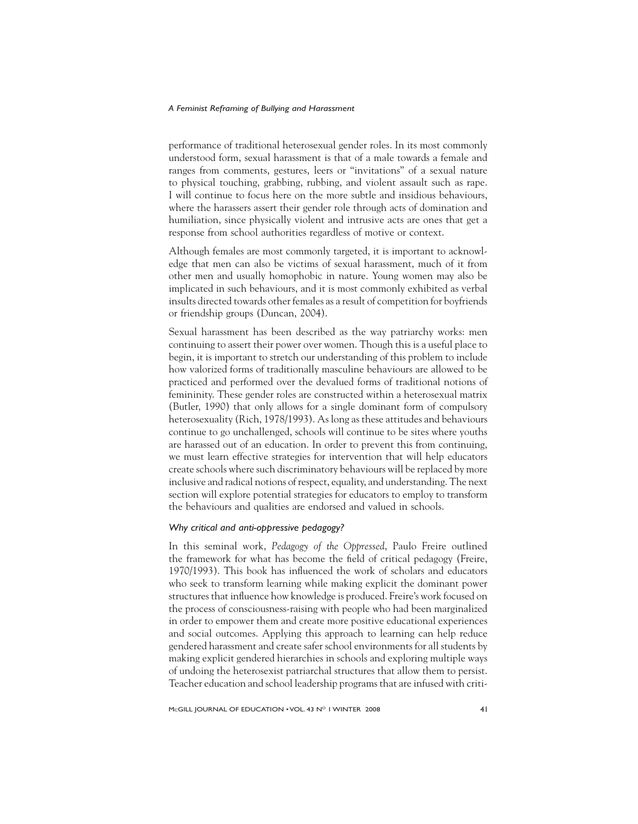performance of traditional heterosexual gender roles. In its most commonly understood form, sexual harassment is that of a male towards a female and ranges from comments, gestures, leers or "invitations" of a sexual nature to physical touching, grabbing, rubbing, and violent assault such as rape. I will continue to focus here on the more subtle and insidious behaviours, where the harassers assert their gender role through acts of domination and humiliation, since physically violent and intrusive acts are ones that get a response from school authorities regardless of motive or context.

Although females are most commonly targeted, it is important to acknowledge that men can also be victims of sexual harassment, much of it from other men and usually homophobic in nature. Young women may also be implicated in such behaviours, and it is most commonly exhibited as verbal insults directed towards other females as a result of competition for boyfriends or friendship groups (Duncan, 2004).

Sexual harassment has been described as the way patriarchy works: men continuing to assert their power over women. Though this is a useful place to begin, it is important to stretch our understanding of this problem to include how valorized forms of traditionally masculine behaviours are allowed to be practiced and performed over the devalued forms of traditional notions of femininity. These gender roles are constructed within a heterosexual matrix (Butler, 1990) that only allows for a single dominant form of compulsory heterosexuality (Rich, 1978/1993). As long as these attitudes and behaviours continue to go unchallenged, schools will continue to be sites where youths are harassed out of an education. In order to prevent this from continuing, we must learn effective strategies for intervention that will help educators create schools where such discriminatory behaviours will be replaced by more inclusive and radical notions of respect, equality, and understanding. The next section will explore potential strategies for educators to employ to transform the behaviours and qualities are endorsed and valued in schools.

# *Why critical and anti-oppressive pedagogy?*

In this seminal work, *Pedagogy of the Oppressed*, Paulo Freire outlined the framework for what has become the field of critical pedagogy (Freire, 1970/1993). This book has influenced the work of scholars and educators who seek to transform learning while making explicit the dominant power structures that influence how knowledge is produced. Freire's work focused on the process of consciousness-raising with people who had been marginalized in order to empower them and create more positive educational experiences and social outcomes. Applying this approach to learning can help reduce gendered harassment and create safer school environments for all students by making explicit gendered hierarchies in schools and exploring multiple ways of undoing the heterosexist patriarchal structures that allow them to persist. Teacher education and school leadership programs that are infused with criti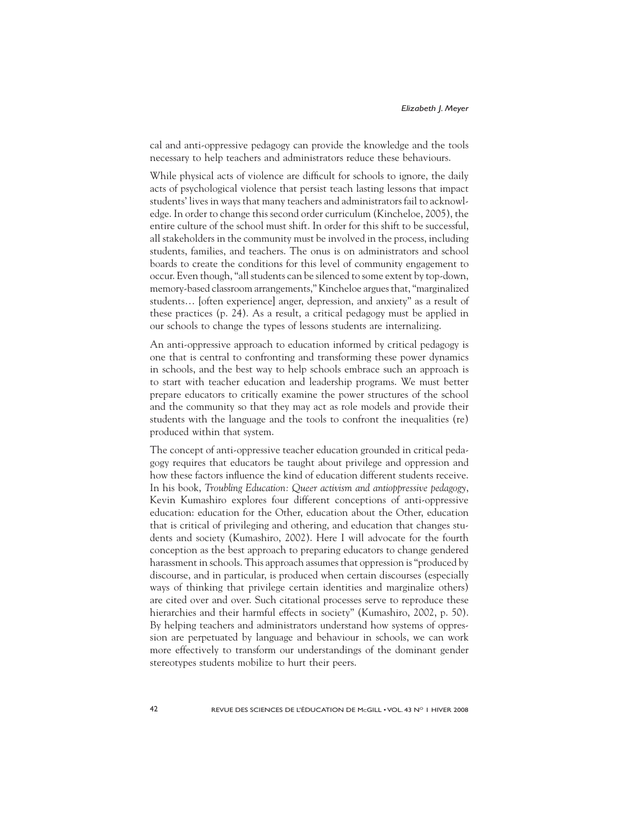cal and anti-oppressive pedagogy can provide the knowledge and the tools necessary to help teachers and administrators reduce these behaviours.

While physical acts of violence are difficult for schools to ignore, the daily acts of psychological violence that persist teach lasting lessons that impact students' lives in ways that many teachers and administrators fail to acknowledge. In order to change this second order curriculum (Kincheloe, 2005), the entire culture of the school must shift. In order for this shift to be successful, all stakeholders in the community must be involved in the process, including students, families, and teachers. The onus is on administrators and school boards to create the conditions for this level of community engagement to occur. Even though, "all students can be silenced to some extent by top-down, memory-based classroom arrangements," Kincheloe argues that, "marginalized students… [often experience] anger, depression, and anxiety" as a result of these practices (p. 24). As a result, a critical pedagogy must be applied in our schools to change the types of lessons students are internalizing.

An anti-oppressive approach to education informed by critical pedagogy is one that is central to confronting and transforming these power dynamics in schools, and the best way to help schools embrace such an approach is to start with teacher education and leadership programs. We must better prepare educators to critically examine the power structures of the school and the community so that they may act as role models and provide their students with the language and the tools to confront the inequalities (re) produced within that system.

The concept of anti-oppressive teacher education grounded in critical pedagogy requires that educators be taught about privilege and oppression and how these factors influence the kind of education different students receive. In his book, *Troubling Education: Queer activism and antioppressive pedagogy*, Kevin Kumashiro explores four different conceptions of anti-oppressive education: education for the Other, education about the Other, education that is critical of privileging and othering, and education that changes students and society (Kumashiro, 2002). Here I will advocate for the fourth conception as the best approach to preparing educators to change gendered harassment in schools. This approach assumes that oppression is "produced by discourse, and in particular, is produced when certain discourses (especially ways of thinking that privilege certain identities and marginalize others) are cited over and over. Such citational processes serve to reproduce these hierarchies and their harmful effects in society" (Kumashiro, 2002, p. 50). By helping teachers and administrators understand how systems of oppression are perpetuated by language and behaviour in schools, we can work more effectively to transform our understandings of the dominant gender stereotypes students mobilize to hurt their peers.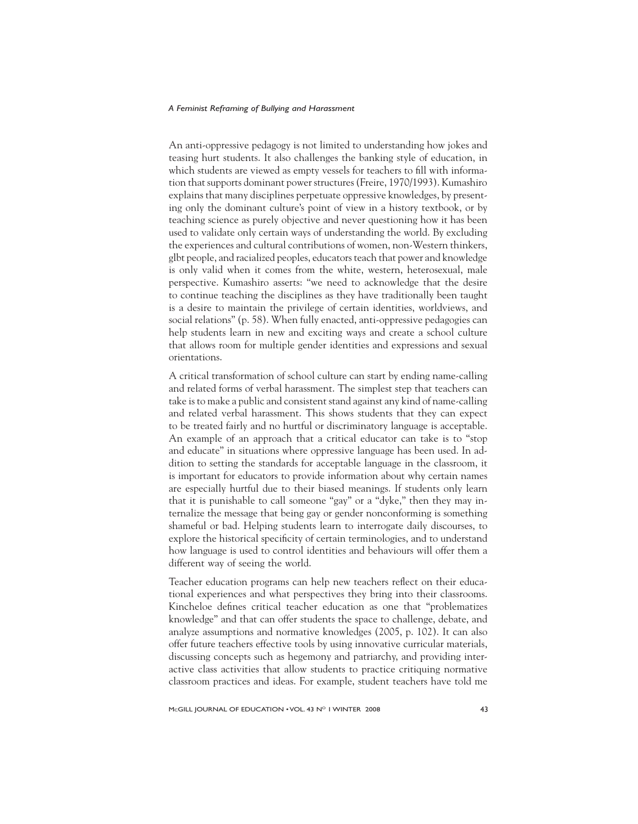An anti-oppressive pedagogy is not limited to understanding how jokes and teasing hurt students. It also challenges the banking style of education, in which students are viewed as empty vessels for teachers to fill with information that supports dominant power structures (Freire, 1970/1993). Kumashiro explains that many disciplines perpetuate oppressive knowledges, by presenting only the dominant culture's point of view in a history textbook, or by teaching science as purely objective and never questioning how it has been used to validate only certain ways of understanding the world. By excluding the experiences and cultural contributions of women, non-Western thinkers, glbt people, and racialized peoples, educators teach that power and knowledge is only valid when it comes from the white, western, heterosexual, male perspective. Kumashiro asserts: "we need to acknowledge that the desire to continue teaching the disciplines as they have traditionally been taught is a desire to maintain the privilege of certain identities, worldviews, and social relations" (p. 58). When fully enacted, anti-oppressive pedagogies can help students learn in new and exciting ways and create a school culture that allows room for multiple gender identities and expressions and sexual orientations.

A critical transformation of school culture can start by ending name-calling and related forms of verbal harassment. The simplest step that teachers can take is to make a public and consistent stand against any kind of name-calling and related verbal harassment. This shows students that they can expect to be treated fairly and no hurtful or discriminatory language is acceptable. An example of an approach that a critical educator can take is to "stop and educate" in situations where oppressive language has been used. In addition to setting the standards for acceptable language in the classroom, it is important for educators to provide information about why certain names are especially hurtful due to their biased meanings. If students only learn that it is punishable to call someone "gay" or a "dyke," then they may internalize the message that being gay or gender nonconforming is something shameful or bad. Helping students learn to interrogate daily discourses, to explore the historical specificity of certain terminologies, and to understand how language is used to control identities and behaviours will offer them a different way of seeing the world.

Teacher education programs can help new teachers reflect on their educational experiences and what perspectives they bring into their classrooms. Kincheloe defines critical teacher education as one that "problematizes knowledge" and that can offer students the space to challenge, debate, and analyze assumptions and normative knowledges (2005, p. 102). It can also offer future teachers effective tools by using innovative curricular materials, discussing concepts such as hegemony and patriarchy, and providing interactive class activities that allow students to practice critiquing normative classroom practices and ideas. For example, student teachers have told me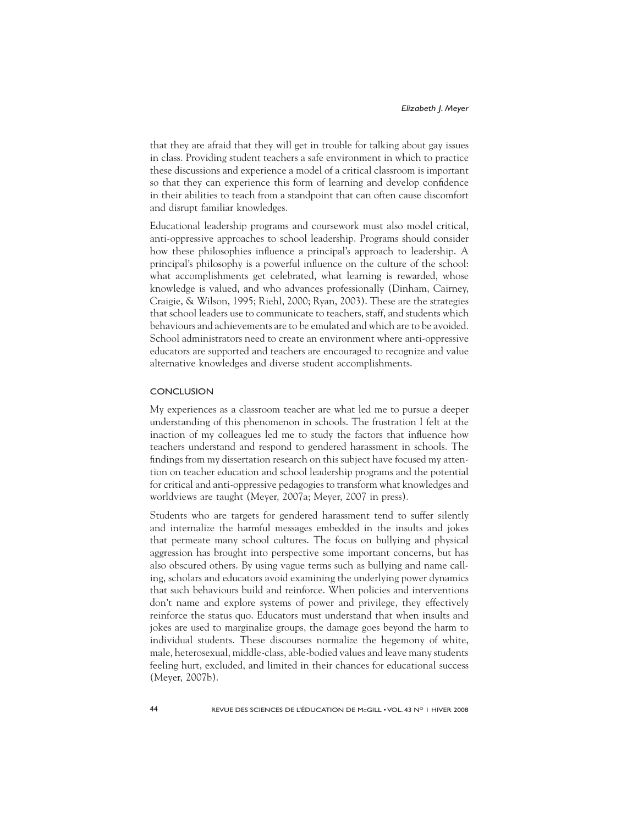that they are afraid that they will get in trouble for talking about gay issues in class. Providing student teachers a safe environment in which to practice these discussions and experience a model of a critical classroom is important so that they can experience this form of learning and develop confidence in their abilities to teach from a standpoint that can often cause discomfort and disrupt familiar knowledges.

Educational leadership programs and coursework must also model critical, anti-oppressive approaches to school leadership. Programs should consider how these philosophies influence a principal's approach to leadership. A principal's philosophy is a powerful influence on the culture of the school: what accomplishments get celebrated, what learning is rewarded, whose knowledge is valued, and who advances professionally (Dinham, Cairney, Craigie, & Wilson, 1995; Riehl, 2000; Ryan, 2003). These are the strategies that school leaders use to communicate to teachers, staff, and students which behaviours and achievements are to be emulated and which are to be avoided. School administrators need to create an environment where anti-oppressive educators are supported and teachers are encouraged to recognize and value alternative knowledges and diverse student accomplishments.

# **CONCLUSION**

My experiences as a classroom teacher are what led me to pursue a deeper understanding of this phenomenon in schools. The frustration I felt at the inaction of my colleagues led me to study the factors that influence how teachers understand and respond to gendered harassment in schools. The findings from my dissertation research on this subject have focused my attention on teacher education and school leadership programs and the potential for critical and anti-oppressive pedagogies to transform what knowledges and worldviews are taught (Meyer, 2007a; Meyer, 2007 in press).

Students who are targets for gendered harassment tend to suffer silently and internalize the harmful messages embedded in the insults and jokes that permeate many school cultures. The focus on bullying and physical aggression has brought into perspective some important concerns, but has also obscured others. By using vague terms such as bullying and name calling, scholars and educators avoid examining the underlying power dynamics that such behaviours build and reinforce. When policies and interventions don't name and explore systems of power and privilege, they effectively reinforce the status quo. Educators must understand that when insults and jokes are used to marginalize groups, the damage goes beyond the harm to individual students. These discourses normalize the hegemony of white, male, heterosexual, middle-class, able-bodied values and leave many students feeling hurt, excluded, and limited in their chances for educational success (Meyer, 2007b).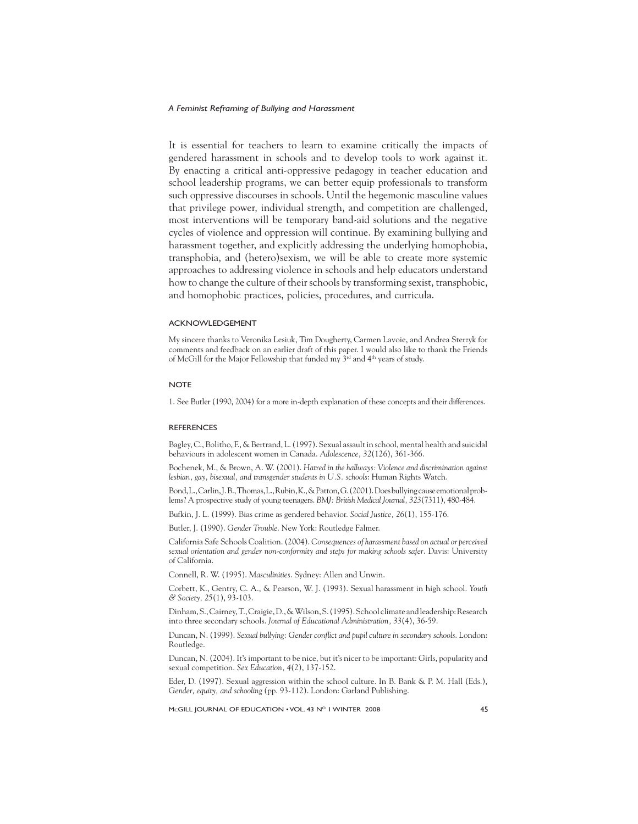It is essential for teachers to learn to examine critically the impacts of gendered harassment in schools and to develop tools to work against it. By enacting a critical anti-oppressive pedagogy in teacher education and school leadership programs, we can better equip professionals to transform such oppressive discourses in schools. Until the hegemonic masculine values that privilege power, individual strength, and competition are challenged, most interventions will be temporary band-aid solutions and the negative cycles of violence and oppression will continue. By examining bullying and harassment together, and explicitly addressing the underlying homophobia, transphobia, and (hetero)sexism, we will be able to create more systemic approaches to addressing violence in schools and help educators understand how to change the culture of their schools by transforming sexist, transphobic, and homophobic practices, policies, procedures, and curricula.

### ACKNOWLEDGEMENT

My sincere thanks to Veronika Lesiuk, Tim Dougherty, Carmen Lavoie, and Andrea Sterzyk for comments and feedback on an earlier draft of this paper. I would also like to thank the Friends of McGill for the Major Fellowship that funded my  $3<sup>rd</sup>$  and  $4<sup>th</sup>$  years of study.

#### **NOTE**

1. See Butler (1990, 2004) for a more in-depth explanation of these concepts and their differences.

### REFERENCES

Bagley, C., Bolitho, F., & Bertrand, L. (1997). Sexual assault in school, mental health and suicidal behaviours in adolescent women in Canada. *Adolescence, 32*(126), 361-366.

Bochenek, M., & Brown, A. W. (2001). *Hatred in the hallways: Violence and discrimination against lesbian, gay, bisexual, and transgender students in U.S. schools*: Human Rights Watch.

Bond, L., Carlin, J. B., Thomas, L., Rubin, K., & Patton, G. (2001). Does bullying cause emotional problems? A prospective study of young teenagers. *BMJ: British Medical Journal, 323*(7311), 480-484.

Bufkin, J. L. (1999). Bias crime as gendered behavior. *Social Justice, 26*(1), 155-176.

Butler, J. (1990). *Gender Trouble*. New York: Routledge Falmer.

California Safe Schools Coalition. (2004). *Consequences of harassment based on actual or perceived sexual orientation and gender non-conformity and steps for making schools safer*. Davis: University of California.

Connell, R. W. (1995). *Masculinities*. Sydney: Allen and Unwin.

Corbett, K., Gentry, C. A., & Pearson, W. J. (1993). Sexual harassment in high school. *Youth & Society, 25*(1), 93-103.

Dinham, S., Cairney, T., Craigie, D., & Wilson, S. (1995). School climate and leadership: Research into three secondary schools. *Journal of Educational Administration, 33*(4), 36-59.

Duncan, N. (1999). *Sexual bullying: Gender conflict and pupil culture in secondary schools*. London: Routledge.

Duncan, N. (2004). It's important to be nice, but it's nicer to be important: Girls, popularity and sexual competition. *Sex Education, 4*(2), 137-152.

Eder, D. (1997). Sexual aggression within the school culture. In B. Bank & P. M. Hall (Eds.), *Gender, equity, and schooling* (pp. 93-112). London: Garland Publishing.

McGILL IOURNAL OF EDUCATION  $\cdot$  VOL. 43 N° 1 WINTER 2008  $\overline{45}$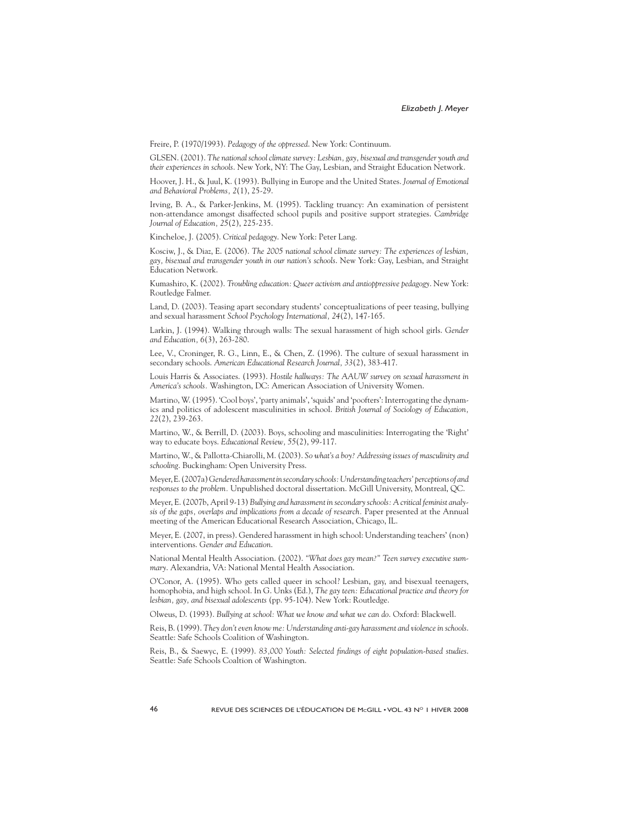Freire, P. (1970/1993). *Pedagogy of the oppressed*. New York: Continuum.

GLSEN. (2001). *The national school climate survey: Lesbian, gay, bisexual and transgender youth and their experiences in schools*. New York, NY: The Gay, Lesbian, and Straight Education Network.

Hoover, J. H., & Juul, K. (1993). Bullying in Europe and the United States. *Journal of Emotional and Behavioral Problems, 2*(1), 25-29.

Irving, B. A., & Parker-Jenkins, M. (1995). Tackling truancy: An examination of persistent non-attendance amongst disaffected school pupils and positive support strategies. *Cambridge Journal of Education, 25*(2), 225-235.

Kincheloe, J. (2005). *Critical pedagogy*. New York: Peter Lang.

Kosciw, J., & Diaz, E. (2006). *The 2005 national school climate survey: The experiences of lesbian, gay, bisexual and transgender youth in our nation's schools*. New York: Gay, Lesbian, and Straight Education Network.

Kumashiro, K. (2002). *Troubling education: Queer activism and antioppressive pedagogy*. New York: Routledge Falmer.

Land, D. (2003). Teasing apart secondary students' conceptualizations of peer teasing, bullying and sexual harassment *School Psychology International, 24*(2), 147-165.

Larkin, J. (1994). Walking through walls: The sexual harassment of high school girls. *Gender and Education, 6*(3), 263-280.

Lee, V., Croninger, R. G., Linn, E., & Chen, Z. (1996). The culture of sexual harassment in secondary schools. *American Educational Research Journal, 33*(2), 383-417.

Louis Harris & Associates. (1993). *Hostile hallways: The AAUW survey on sexual harassment in America's schools.* Washington, DC: American Association of University Women.

Martino, W. (1995). 'Cool boys', 'party animals', 'squids' and 'poofters': Interrogating the dynamics and politics of adolescent masculinities in school. *British Journal of Sociology of Education, 22*(2), 239-263.

Martino, W., & Berrill, D. (2003). Boys, schooling and masculinities: Interrogating the 'Right' way to educate boys. *Educational Review, 55*(2), 99-117.

Martino, W., & Pallotta-Chiarolli, M. (2003). *So what's a boy? Addressing issues of masculinity and schooling*. Buckingham: Open University Press.

Meyer, E. (2007a) *Gendered harassment in secondary schools: Understanding teachers' perceptions of and responses to the problem.* Unpublished doctoral dissertation. McGill University, Montreal, QC.

Meyer, E. (2007b, April 9-13) *Bullying and harassment in secondary schools: A critical feminist analysis of the gaps, overlaps and implications from a decade of research.* Paper presented at the Annual meeting of the American Educational Research Association, Chicago, IL.

Meyer, E. (2007, in press). Gendered harassment in high school: Understanding teachers' (non) interventions. *Gender and Education*.

National Mental Health Association. (2002). *"What does gay mean?" Teen survey executive summary*. Alexandria, VA: National Mental Health Association.

O'Conor, A. (1995). Who gets called queer in school? Lesbian, gay, and bisexual teenagers, homophobia, and high school. In G. Unks (Ed.), *The gay teen: Educational practice and theory for lesbian, gay, and bisexual adolescents* (pp. 95-104). New York: Routledge.

Olweus, D. (1993). *Bullying at school: What we know and what we can do*. Oxford: Blackwell.

Reis, B. (1999). *They don't even know me: Understanding anti-gay harassment and violence in schools*. Seattle: Safe Schools Coalition of Washington.

Reis, B., & Saewyc, E. (1999). *83,000 Youth: Selected findings of eight population-based studies*. Seattle: Safe Schools Coaltion of Washington.

46 REVUE DES SCIENCES DE L'ÉDUCATION DE McGILL • VOL. 43 N° 1 HIVER 2008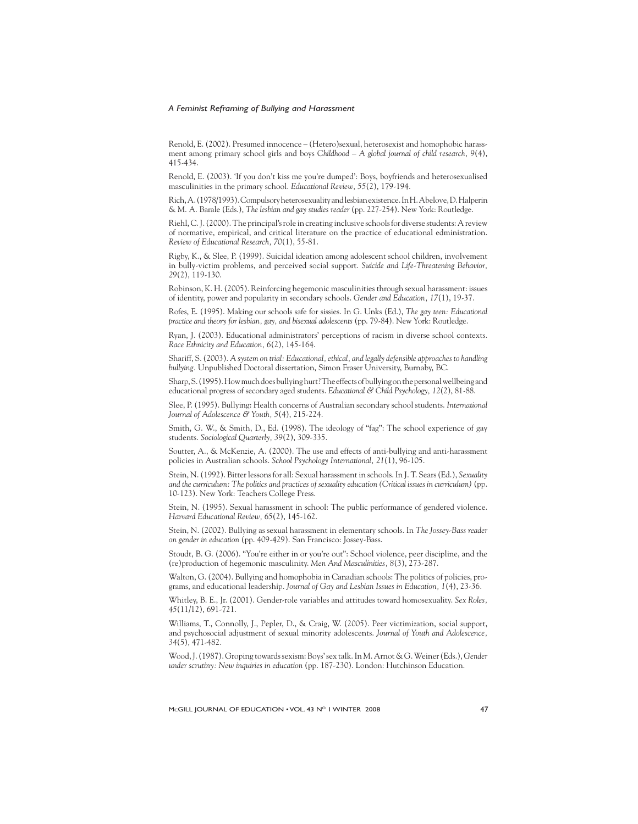Renold, E. (2002). Presumed innocence – (Hetero)sexual, heterosexist and homophobic harassment among primary school girls and boys *Childhood – A global journal of child research, 9*(4), 415-434.

Renold, E. (2003). 'If you don't kiss me you're dumped': Boys, boyfriends and heterosexualised masculinities in the primary school. *Educational Review, 55*(2), 179-194.

Rich, A. (1978/1993). Compulsory heterosexuality and lesbian existence. In H. Abelove, D. Halperin & M. A. Barale (Eds.), *The lesbian and gay studies reader* (pp. 227-254). New York: Routledge.

Riehl, C. J. (2000). The principal's role in creating inclusive schools for diverse students: A review of normative, empirical, and critical literature on the practice of educational edministration. *Review of Educational Research, 70*(1), 55-81.

Rigby, K., & Slee, P. (1999). Suicidal ideation among adolescent school children, involvement in bully-victim problems, and perceived social support. *Suicide and Life-Threatening Behavior, 29*(2), 119-130.

Robinson, K. H. (2005). Reinforcing hegemonic masculinities through sexual harassment: issues of identity, power and popularity in secondary schools. *Gender and Education, 17*(1), 19-37.

Rofes, E. (1995). Making our schools safe for sissies. In G. Unks (Ed.), *The gay teen: Educational practice and theory for lesbian, gay, and bisexual adolescents* (pp. 79-84). New York: Routledge.

Ryan, J. (2003). Educational administrators' perceptions of racism in diverse school contexts. *Race Ethnicity and Education, 6*(2), 145-164.

Shariff, S. (2003). *A system on trial: Educational, ethical, and legally defensible approaches to handling bullying.* Unpublished Doctoral dissertation, Simon Fraser University, Burnaby, BC.

Sharp, S. (1995). How much does bullying hurt? The effects of bullying on the personal wellbeing and educational progress of secondary aged students. *Educational & Child Psychology, 12*(2), 81-88.

Slee, P. (1995). Bullying: Health concerns of Australian secondary school students. *International Journal of Adolescence & Youth, 5*(4), 215-224.

Smith, G. W., & Smith, D., Ed. (1998). The ideology of "fag": The school experience of gay students. *Sociological Quarterly, 39*(2), 309-335.

Soutter, A., & McKenzie, A. (2000). The use and effects of anti-bullying and anti-harassment policies in Australian schools. *School Psychology International, 21*(1), 96-105.

Stein, N. (1992). Bitter lessons for all: Sexual harassment in schools. In J. T. Sears (Ed.), *Sexuality and the curriculum: The politics and practices of sexuality education (Critical issues in curriculum)* (pp. 10-123). New York: Teachers College Press.

Stein, N. (1995). Sexual harassment in school: The public performance of gendered violence. *Harvard Educational Review, 65*(2), 145-162.

Stein, N. (2002). Bullying as sexual harassment in elementary schools. In *The Jossey-Bass reader on gender in education* (pp. 409-429). San Francisco: Jossey-Bass.

Stoudt, B. G. (2006). "You're either in or you're out": School violence, peer discipline, and the (re)production of hegemonic masculinity. *Men And Masculinities, 8*(3), 273-287.

Walton, G. (2004). Bullying and homophobia in Canadian schools: The politics of policies, programs, and educational leadership. *Journal of Gay and Lesbian Issues in Education, 1*(4), 23-36.

Whitley, B. E., Jr. (2001). Gender-role variables and attitudes toward homosexuality. *Sex Roles, 45*(11/12), 691-721.

Williams, T., Connolly, J., Pepler, D., & Craig, W. (2005). Peer victimization, social support, and psychosocial adjustment of sexual minority adolescents. *Journal of Youth and Adolescence, 34*(5), 471-482.

Wood, J. (1987). Groping towards sexism: Boys' sex talk. In M. Arnot & G. Weiner (Eds.), *Gender under scrutiny: New inquiries in education* (pp. 187-230). London: Hutchinson Education.

McGILL IOURNAL OF EDUCATION  $\cdot$  VOL. 43 N° 1 WINTER 2008 47